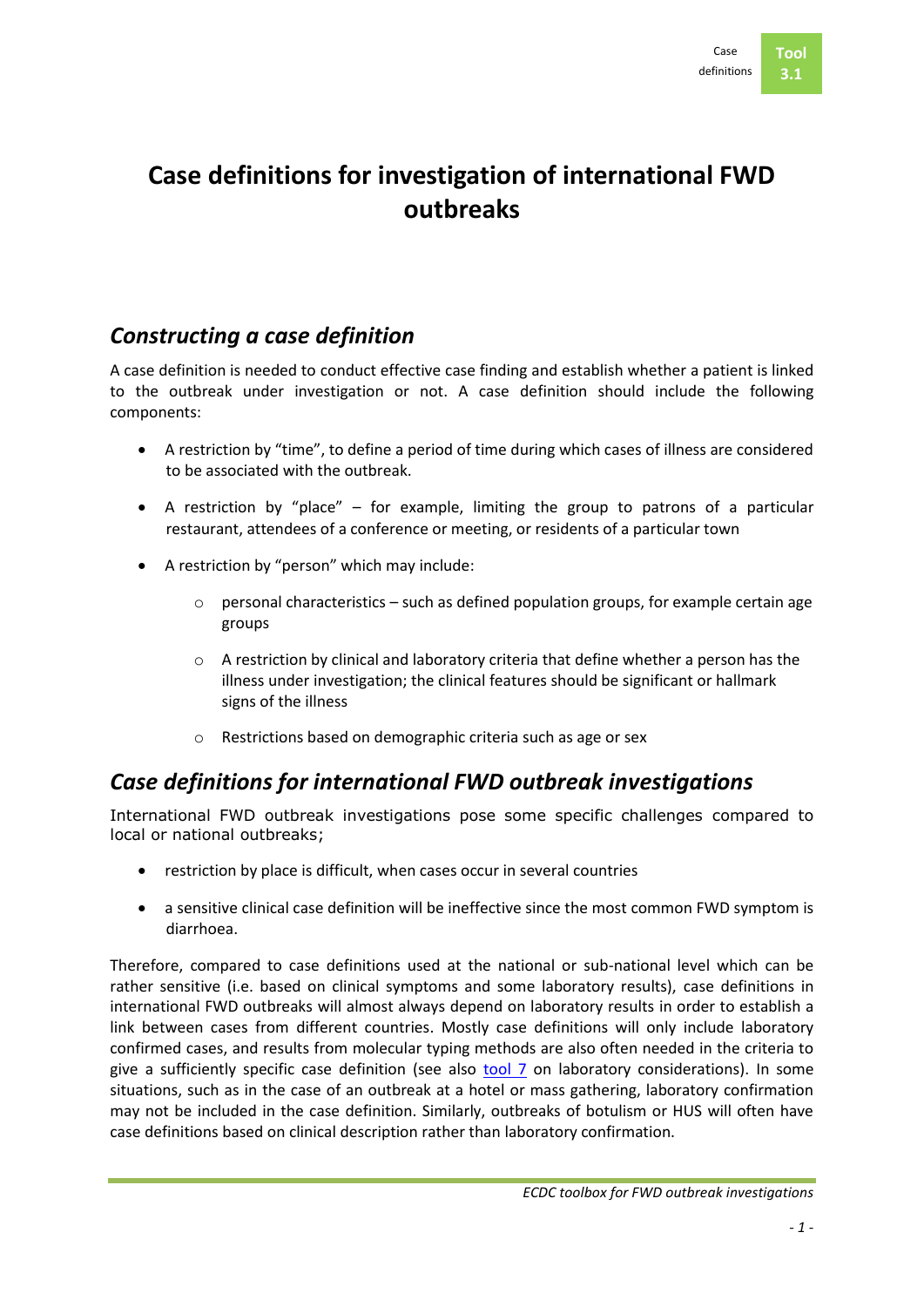# **Case definitions for investigation of international FWD outbreaks**

## *Constructing a case definition*

A case definition is needed to conduct effective case finding and establish whether a patient is linked to the outbreak under investigation or not. A case definition should include the following components:

- A restriction by "time", to define a period of time during which cases of illness are considered to be associated with the outbreak.
- A restriction by "place" for example, limiting the group to patrons of a particular restaurant, attendees of a conference or meeting, or residents of a particular town
- A restriction by "person" which may include:
	- o personal characteristics such as defined population groups, for example certain age groups
	- $\circ$  A restriction by clinical and laboratory criteria that define whether a person has the illness under investigation; the clinical features should be significant or hallmark signs of the illness
	- o Restrictions based on demographic criteria such as age or sex

# *Case definitions for international FWD outbreak investigations*

International FWD outbreak investigations pose some specific challenges compared to local or national outbreaks;

- restriction by place is difficult, when cases occur in several countries
- a sensitive clinical case definition will be ineffective since the most common FWD symptom is diarrhoea.

Therefore, compared to case definitions used at the national or sub-national level which can be rather sensitive (i.e. based on clinical symptoms and some laboratory results), case definitions in international FWD outbreaks will almost always depend on laboratory results in order to establish a link between cases from different countries. Mostly case definitions will only include laboratory confirmed cases, and results from molecular typing methods are also often needed in the criteria to give a sufficiently specific case definition (see also [tool 7](../Tool%2007%20Environ%20and%20microbio%20studies/Tool%2007.%200.%20Intro.doc) on laboratory considerations). In some situations, such as in the case of an outbreak at a hotel or mass gathering, laboratory confirmation may not be included in the case definition. Similarly, outbreaks of botulism or HUS will often have case definitions based on clinical description rather than laboratory confirmation.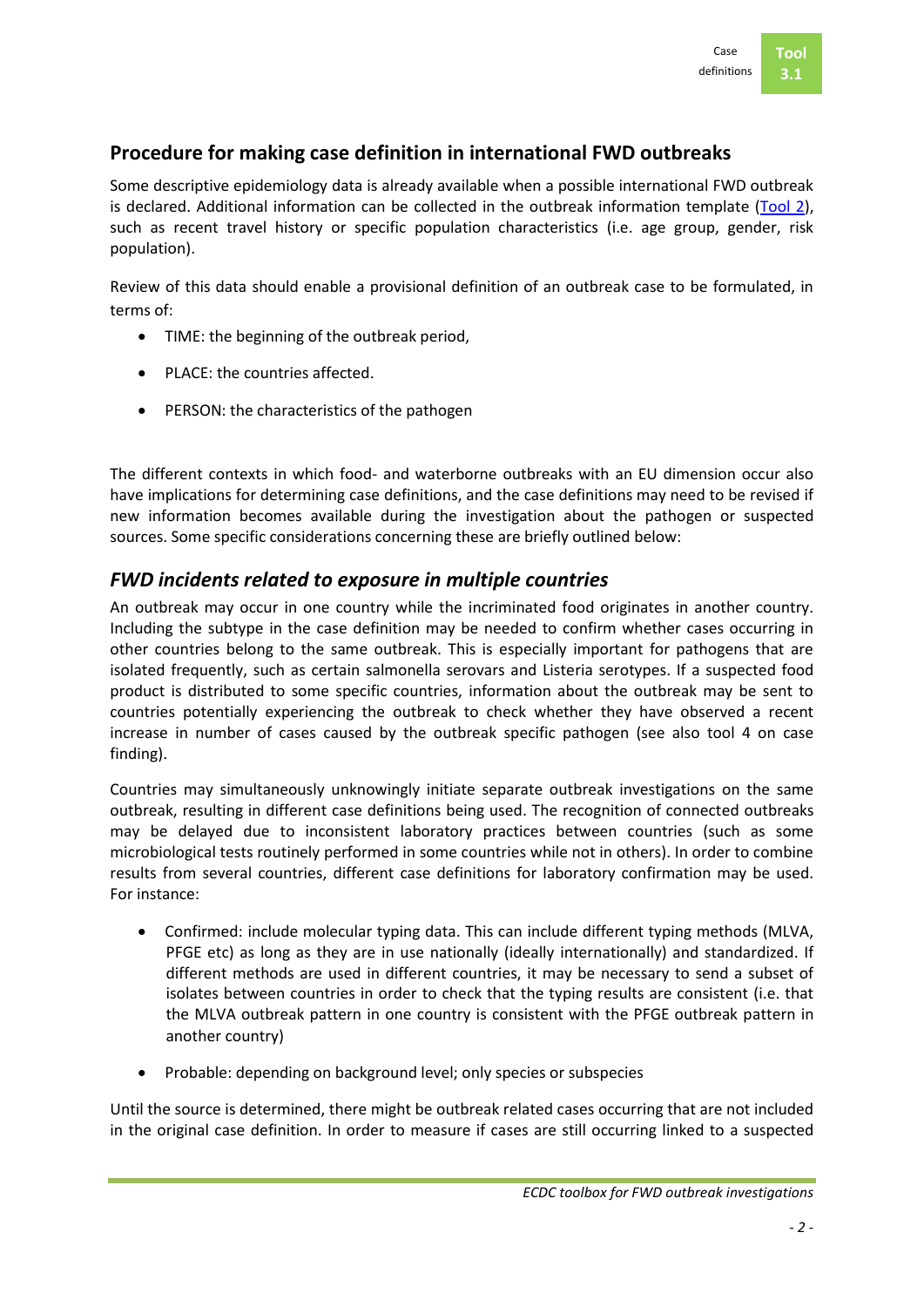## **Procedure for making case definition in international FWD outbreaks**

Some descriptive epidemiology data is already available when a possible international FWD outbreak is declared. Additional information can be collected in the outbreak information template [\(Tool 2\)](../Tool%2002%20Checklist%20teleconference/Tool%2002.%203.%20Form%20before%20meeting,%20template.doc), such as recent travel history or specific population characteristics (i.e. age group, gender, risk population).

Review of this data should enable a provisional definition of an outbreak case to be formulated, in terms of:

- TIME: the beginning of the outbreak period,
- PLACE: the countries affected.
- PERSON: the characteristics of the pathogen

The different contexts in which food- and waterborne outbreaks with an EU dimension occur also have implications for determining case definitions, and the case definitions may need to be revised if new information becomes available during the investigation about the pathogen or suspected sources. Some specific considerations concerning these are briefly outlined below:

## *FWD incidents related to exposure in multiple countries*

An outbreak may occur in one country while the incriminated food originates in another country. Including the subtype in the case definition may be needed to confirm whether cases occurring in other countries belong to the same outbreak. This is especially important for pathogens that are isolated frequently, such as certain salmonella serovars and Listeria serotypes. If a suspected food product is distributed to some specific countries, information about the outbreak may be sent to countries potentially experiencing the outbreak to check whether they have observed a recent increase in number of cases caused by the outbreak specific pathogen (see also tool 4 on case finding).

Countries may simultaneously unknowingly initiate separate outbreak investigations on the same outbreak, resulting in different case definitions being used. The recognition of connected outbreaks may be delayed due to inconsistent laboratory practices between countries (such as some microbiological tests routinely performed in some countries while not in others). In order to combine results from several countries, different case definitions for laboratory confirmation may be used. For instance:

- Confirmed: include molecular typing data. This can include different typing methods (MLVA, PFGE etc) as long as they are in use nationally (ideally internationally) and standardized. If different methods are used in different countries, it may be necessary to send a subset of isolates between countries in order to check that the typing results are consistent (i.e. that the MLVA outbreak pattern in one country is consistent with the PFGE outbreak pattern in another country)
- Probable: depending on background level; only species or subspecies

Until the source is determined, there might be outbreak related cases occurring that are not included in the original case definition. In order to measure if cases are still occurring linked to a suspected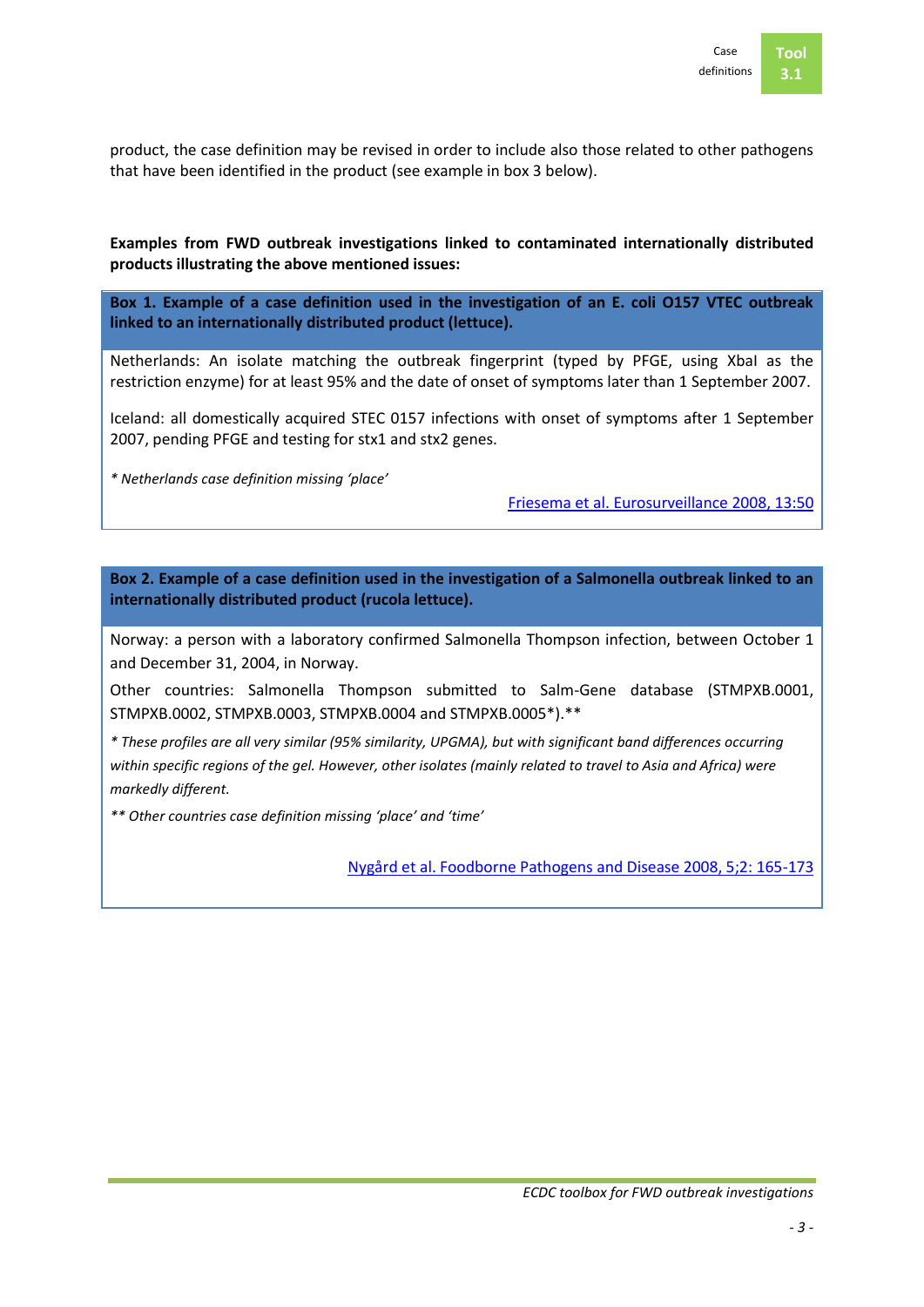

product, the case definition may be revised in order to include also those related to other pathogens that have been identified in the product (see example in box 3 below).

### **Examples from FWD outbreak investigations linked to contaminated internationally distributed products illustrating the above mentioned issues:**

**Box 1. Example of a case definition used in the investigation of an E. coli O157 VTEC outbreak linked to an internationally distributed product (lettuce).**

Netherlands: An isolate matching the outbreak fingerprint (typed by PFGE, using XbaI as the restriction enzyme) for at least 95% and the date of onset of symptoms later than 1 September 2007.

Iceland: all domestically acquired STEC 0157 infections with onset of symptoms after 1 September 2007, pending PFGE and testing for stx1 and stx2 genes.

*\* Netherlands case definition missing 'place'*

[Friesema et al. Eurosurveillance](http://www.eurosurveillance.org/viewarticle.aspx?articleid=19065) 2008, 13:50

**Box 2. Example of a case definition used in the investigation of a Salmonella outbreak linked to an internationally distributed product (rucola lettuce).**

Norway: a person with a laboratory confirmed Salmonella Thompson infection, between October 1 and December 31, 2004, in Norway.

Other countries: Salmonella Thompson submitted to Salm-Gene database (STMPXB.0001, STMPXB.0002, STMPXB.0003, STMPXB.0004 and STMPXB.0005\*).\*\*

*\* These profiles are all very similar (95% similarity, UPGMA), but with significant band differences occurring within specific regions of the gel. However, other isolates (mainly related to travel to Asia and Africa) were markedly different.*

*\*\* Other countries case definition missing 'place' and 'time'*

[Nygård et al. Foodborne Pathogens and Disease 2008, 5;2: 165-173](http://www.ncbi.nlm.nih.gov/pubmed/18361685)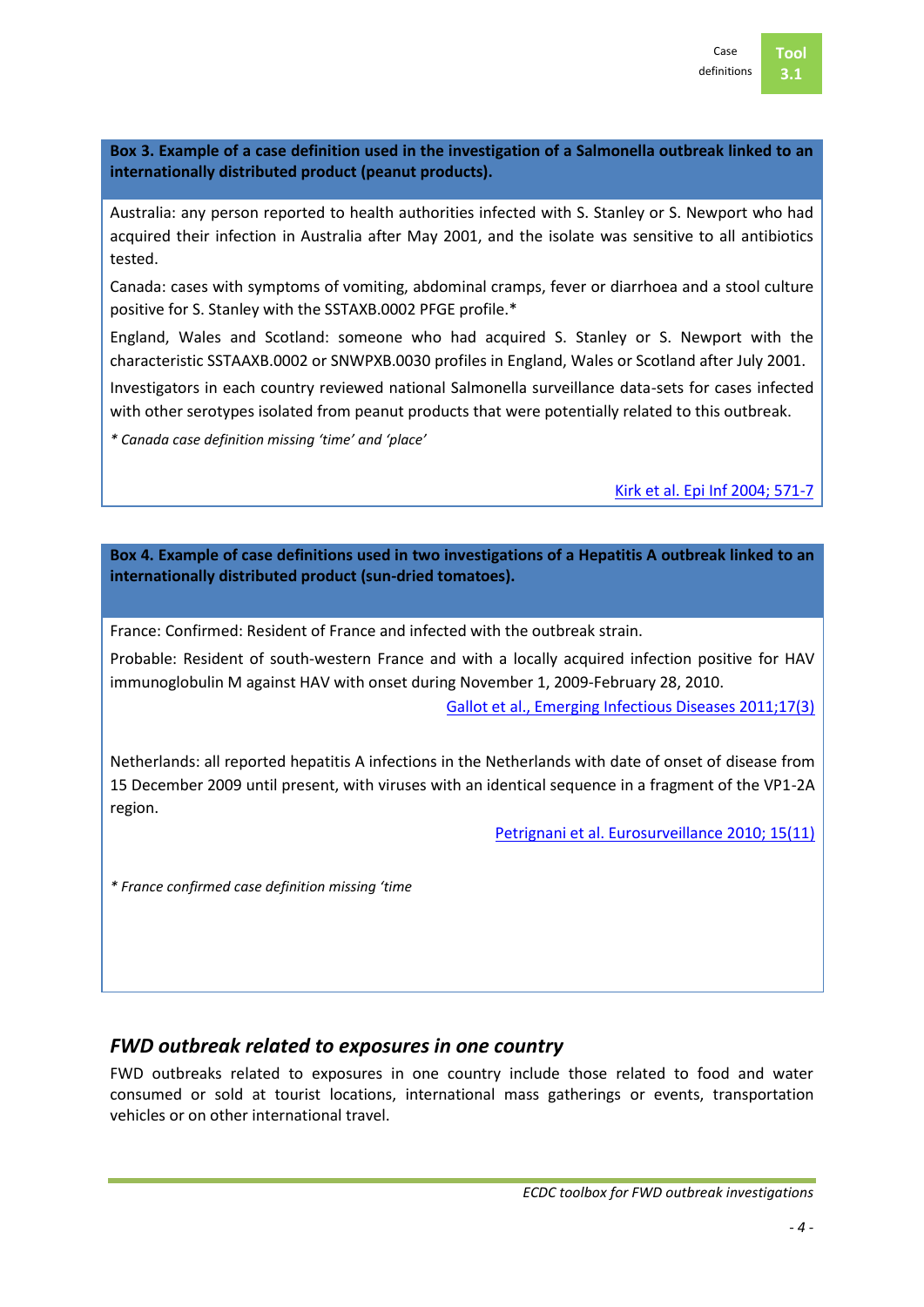**3.1**

**Box 3. Example of a case definition used in the investigation of a Salmonella outbreak linked to an internationally distributed product (peanut products).**

Australia: any person reported to health authorities infected with S. Stanley or S. Newport who had acquired their infection in Australia after May 2001, and the isolate was sensitive to all antibiotics tested.

Canada: cases with symptoms of vomiting, abdominal cramps, fever or diarrhoea and a stool culture positive for S. Stanley with the SSTAXB.0002 PFGE profile.\*

England, Wales and Scotland: someone who had acquired S. Stanley or S. Newport with the characteristic SSTAAXB.0002 or SNWPXB.0030 profiles in England, Wales or Scotland after July 2001.

Investigators in each country reviewed national Salmonella surveillance data-sets for cases infected with other serotypes isolated from peanut products that were potentially related to this outbreak.

*\* Canada case definition missing 'time' and 'place'*

[Kirk et al. Epi Inf 2004; 571-7](http://www.ncbi.nlm.nih.gov/pubmed/15310157)

**Box 4. Example of case definitions used in two investigations of a Hepatitis A outbreak linked to an internationally distributed product (sun-dried tomatoes).**

France: Confirmed: Resident of France and infected with the outbreak strain.

Probable: Resident of south-western France and with a locally acquired infection positive for HAV immunoglobulin M against HAV with onset during November 1, 2009-February 28, 2010.

[Gallot et al., Emerging Infectious Diseases 2011;17\(3\)](http://www.ncbi.nlm.nih.gov/pubmed/21392466)

Netherlands: all reported hepatitis A infections in the Netherlands with date of onset of disease from 15 December 2009 until present, with viruses with an identical sequence in a fragment of the VP1-2A region.

[Petrignani et al. Eurosurveillance 2010; 15\(11\)](http://www.eurosurveillance.org/ViewArticle.aspx?ArticleId=19512)

*\* France confirmed case definition missing 'time*

## *FWD outbreak related to exposures in one country*

FWD outbreaks related to exposures in one country include those related to food and water consumed or sold at tourist locations, international mass gatherings or events, transportation vehicles or on other international travel.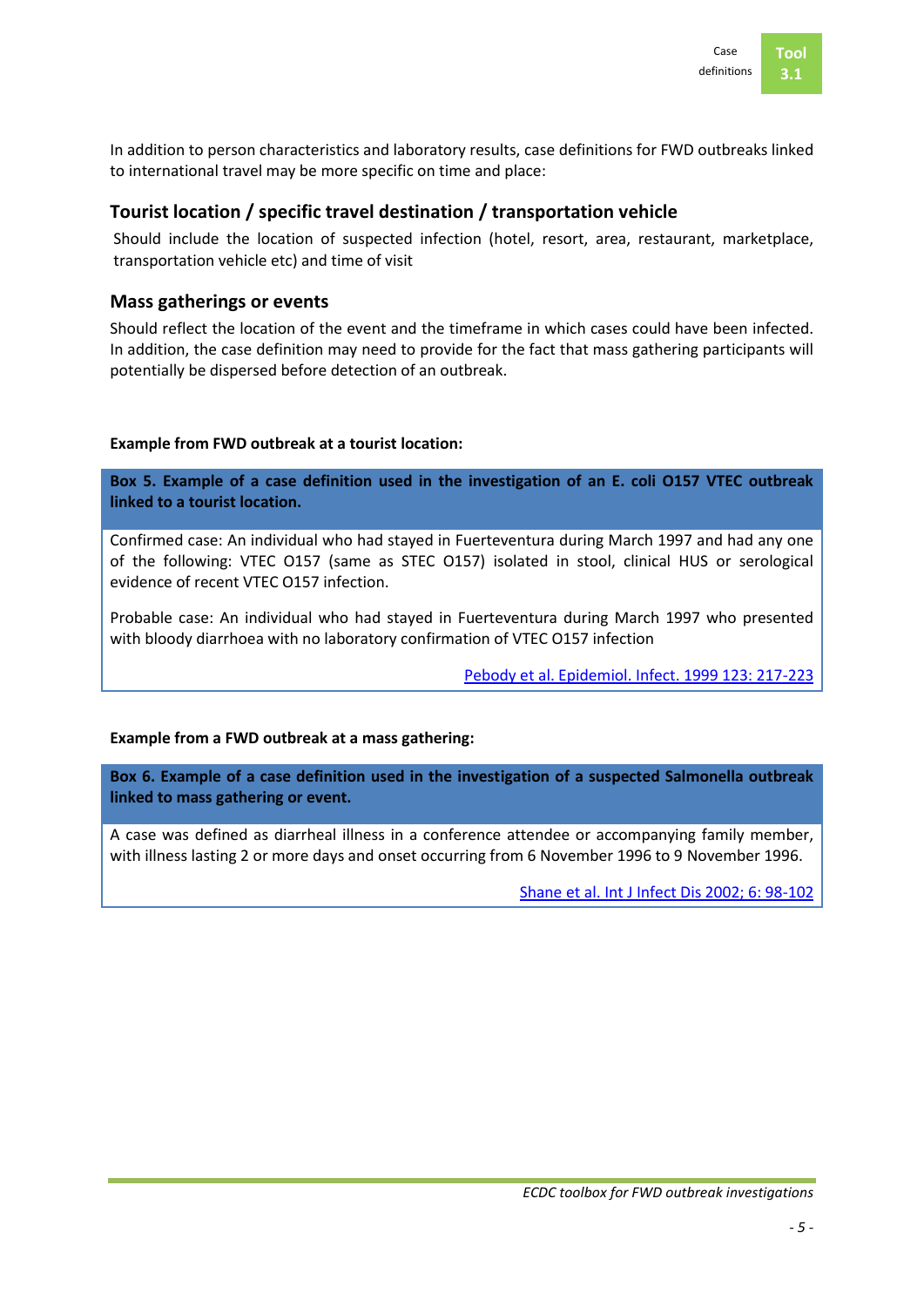

In addition to person characteristics and laboratory results, case definitions for FWD outbreaks linked to international travel may be more specific on time and place:

## **Tourist location / specific travel destination / transportation vehicle**

Should include the location of suspected infection (hotel, resort, area, restaurant, marketplace, transportation vehicle etc) and time of visit

## **Mass gatherings or events**

Should reflect the location of the event and the timeframe in which cases could have been infected. In addition, the case definition may need to provide for the fact that mass gathering participants will potentially be dispersed before detection of an outbreak.

### **Example from FWD outbreak at a tourist location:**

**Box 5. Example of a case definition used in the investigation of an E. coli O157 VTEC outbreak linked to a tourist location.**

Confirmed case: An individual who had stayed in Fuerteventura during March 1997 and had any one of the following: VTEC O157 (same as STEC O157) isolated in stool, clinical HUS or serological evidence of recent VTEC O157 infection.

Probable case: An individual who had stayed in Fuerteventura during March 1997 who presented with bloody diarrhoea with no laboratory confirmation of VTEC O157 infection

[Pebody et al. Epidemiol. Infect. 1999 123: 217-223](http://www.ncbi.nlm.nih.gov/pubmed/10579440)

#### **Example from a FWD outbreak at a mass gathering:**

**Box 6. Example of a case definition used in the investigation of a suspected Salmonella outbreak linked to mass gathering or event.**

A case was defined as diarrheal illness in a conference attendee or accompanying family member, with illness lasting 2 or more days and onset occurring from 6 November 1996 to 9 November 1996.

[Shane et al. Int J Infect Dis 2002; 6: 98-102](http://www.ncbi.nlm.nih.gov/pubmed/12121595)